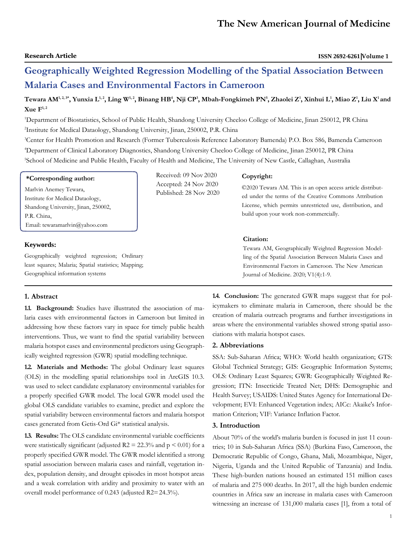# **Geographically Weighted Regression Modelling of the Spatial Association Between Malaria Cases and Environmental Factors in Cameroon**

Tewara AM<sup>1,2,3</sup>\*, Yunxia L<sup>1,2</sup>, Ling W<sup>1,2</sup>, Binang HB<sup>4</sup>, Nji CP<sup>3</sup>, Mbah-Fongkimeh PN<sup>5</sup>, Zhaolei Z<sup>1</sup>, Xinhui L<sup>1</sup>, Miao Z<sup>1</sup>, Liu X<sup>1</sup> and **Xue F1, 2**

<sup>1</sup>Department of Biostatistics, School of Public Health, Shandong University Cheeloo College of Medicine, Jinan 250012, PR China 2 Institute for Medical Dataology, Shandong University, Jinan, 250002, P.R. China

<sup>3</sup>Center for Health Promotion and Research (Former Tuberculosis Reference Laboratory Bamenda) P.O. Box 586, Bamenda Cameroon <sup>4</sup>Department of Clinical Laboratory Diagnostics, Shandong University Cheeloo College of Medicine, Jinan 250012, PR China <sup>5</sup>School of Medicine and Public Health, Faculty of Health and Medicine, The University of New Castle, Callaghan, Australia

#### **\*Corresponding author:**

Marlvin Anemey Tewara, Institute for Medical Dataology, Shandong University, Jinan, 250002, P.R. China, Email: [tewaramarlvin@yahoo.com](mailto:tewaramarlvin@yahoo.com)

# **Keywords:**

Geographically weighted regression; Ordinary least squares; Malaria; Spatial statistics; Mapping; Geographical information systems

#### **1. Abstract**

**1.1. Background:** Studies have illustrated the association of malaria cases with environmental factors in Cameroon but limited in addressing how these factors vary in space for timely public health interventions. Thus, we want to find the spatial variability between malaria hotspot cases and environmental predictors using Geographically weighted regression (GWR) spatial modelling technique.

**1.2. Materials and Methods:** The global Ordinary least squares (OLS) in the modelling spatial relationships tool in ArcGIS 10.3. was used to select candidate explanatory environmental variables for a properly specified GWR model. The local GWR model used the global OLS candidate variables to examine, predict and explore the spatial variability between environmental factors and malaria hotspot cases generated from Getis-Ord Gi\* statistical analysis.

**1.3. Results:** The OLS candidate environmental variable coefficients were statistically significant (adjusted  $R2 = 22.3\%$  and  $p \le 0.01$ ) for a properly specified GWR model. The GWR model identified a strong spatial association between malaria cases and rainfall, vegetation index, population density, and drought episodes in most hotspot areas and a weak correlation with aridity and proximity to water with an overall model performance of 0.243 (adjusted R2=24.3%).

Received: 09 Nov 2020 Accepted: 24 Nov 2020 Published: 28 Nov 2020

#### **Copyright:**

©2020 Tewara AM. This is an open access article distributed under the terms of the Creative Commons Attribution License, which permits unrestricted use, distribution, and build upon your work non-commercially.

# **Citation:**

Tewara AM, Geographically Weighted Regression Modelling of the Spatial Association Between Malaria Cases and Environmental Factors in Cameroon. The New American Journal of Medicine. 2020; V1(4):1-9.

**1.4. Conclusion:** The generated GWR maps suggest that for policymakers to eliminate malaria in Cameroon, there should be the creation of malaria outreach programs and further investigations in areas where the environmental variables showed strong spatial associations with malaria hotspot cases.

#### **2. Abbreviations**

SSA: Sub-Saharan Africa; WHO: World health organization; GTS: Global Technical Strategy; GIS: Geographic Information Systems; OLS: Ordinary Least Squares; GWR: Geographically Weighted Regression; ITN: Insecticide Treated Net; DHS: Demographic and Health Survey; USAIDS: United States Agency for International Development; EVI: Enhanced Vegetation index; AICc: Akaike's Information Criterion; VIF: Variance Inflation Factor.

### **3. Introduction**

About 70% of the world's malaria burden is focused in just 11 countries; 10 in Sub-Saharan Africa (SSA) (Burkina Faso, Cameroon, the Democratic Republic of Congo, Ghana, Mali, Mozambique, Niger, Nigeria, Uganda and the United Republic of Tanzania) and India. These high-burden nations housed an estimated 151 million cases of malaria and 275 000 deaths. In 2017, all the high burden endemic countries in Africa saw an increase in malaria cases with Cameroon witnessing an increase of 131,000 malaria cases [1], from a total of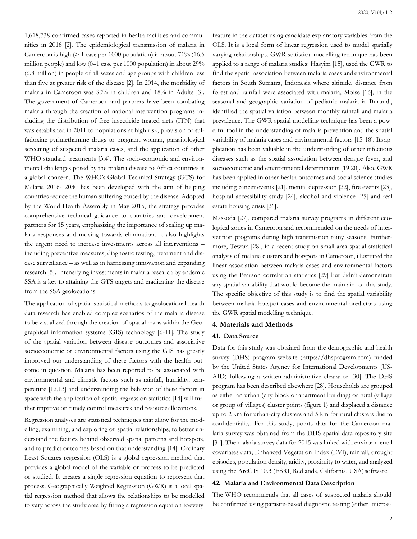1,618,738 confirmed cases reported in health facilities and communities in 2016 [2]. The epidemiological transmission of malaria in Cameroon is high (> 1 case per 1000 population) in about 71% (16.6 million people) and low (0–1 case per 1000 population) in about 29% (6.8 million) in people of all sexes and age groups with children less than five at greater risk of the disease [2]. In 2014, the morbidity of malaria in Cameroon was 30% in children and 18% in Adults [3]. The government of Cameroon and partners have been combating malaria through the creation of national intervention programs including the distribution of free insecticide-treated nets (ITN) that was established in 2011 to populations at high risk, provision of sulfadoxine-pyrimethamine drugs to pregnant woman, parasitological screening of suspected malaria cases, and the application of other WHO standard treatments [3,4]. The socio-economic and environmental challenges posed by the malaria disease to Africa countries is a global concern. The WHO's Global Technical Strategy (GTS) for Malaria 2016- 2030 has been developed with the aim of helping countries reduce the human suffering caused by the disease. Adopted by the World Health Assembly in May 2015, the strategy provides comprehensive technical guidance to countries and development partners for 15 years, emphasizing the importance of scaling up malaria responses and moving towards elimination. It also highlights the urgent need to increase investments across all interventions – including preventive measures, diagnostic testing, treatment and disease surveillance – as well as in harnessing innovation and expanding research [5]. Intensifying investments in malaria research by endemic SSA is a key to attaining the GTS targets and eradicating the disease from the SSA geolocations.

The application of spatial statistical methods to geolocational health data research has enabled complex scenarios of the malaria disease to be visualized through the creation of spatial maps within the Geographical information systems (GIS) technology [6-11]. The study of the spatial variation between disease outcomes and associative socioeconomic or environmental factors using the GIS has greatly improved our understanding of these factors with the health outcome in question. Malaria has been reported to be associated with environmental and climatic factors such as rainfall, humidity, temperature [12,13] and understanding the behavior of these factors in space with the application of spatial regression statistics [14] will further improve on timely control measures and resource allocations.

Regression analyses are statistical techniques that allow for the modelling, examining, and exploring of spatial relationships, to better understand the factors behind observed spatial patterns and hotspots, and to predict outcomes based on that understanding [14]. Ordinary Least Squares regression (OLS) is a global regression method that provides a global model of the variable or process to be predicted or studied. It creates a single regression equation to represent that process. Geographically Weighted Regression (GWR) is a local spatial regression method that allows the relationships to be modelled to vary across the study area by fitting a regression equation toevery

feature in the dataset using candidate explanatory variables from the OLS. It is a local form of linear regression used to model spatially varying relationships. GWR statistical modelling technique has been applied to a range of malaria studies: Hasyim [15], used the GWR to find the spatial association between malaria cases and environmental factors in South Sumatra, Indonesia where altitude, distance from forest and rainfall were associated with malaria, Moise [16], in the seasonal and geographic variation of pediatric malaria in Burundi, identified the spatial variation between monthly rainfall and malaria prevalence. The GWR spatial modelling technique has been a powerful tool in the understanding of malaria prevention and the spatial variability of malaria cases and environmental factors [15-18]. Its application has been valuable in the understanding of other infectious diseases such as the spatial association between dengue fever, and socioeconomic and environmental determinants [19,20]. Also, GWR has been applied in other health outcomes and social science studies including cancer events [21], mental depression [22], fire events [23], hospital accessibility study [24], alcohol and violence [25] and real estate housing crisis [26].

Massoda [27], compared malaria survey programs in different ecological zones in Cameroon and recommended on the needs of intervention programs during high transmission rainy seasons. Furthermore, Tewara [28], in a recent study on small area spatial statistical analysis of malaria clusters and hotspots in Cameroon, illustrated the linear association between malaria cases and environmental factors using the Pearson correlation statistics [29] but didn't demonstrate any spatial variability that would become the main aim of this study. The specific objective of this study is to find the spatial variability between malaria hotspot cases and environmental predictors using the GWR spatial modelling technique.

### **4. Materials and Methods**

# **4.1. Data Source**

Data for this study was obtained from the demographic and health survey (DHS) program website (https://dhsprogram.com) funded by the United States Agency for International Developments (US-AID) following a written administrative clearance [30]. The DHS program has been described elsewhere [28]. Households are grouped as either an urban (city block or apartment building) or rural (village or group of villages) cluster points (figure 1) and displaced a distance up to 2 km for urban-city clusters and 5 km for rural clusters due to confidentiality. For this study, points data for the Cameroon malaria survey was obtained from the DHS spatial data repository site [31]. The malaria survey data for 2015 was linked with environmental covariates data; Enhanced Vegetation Index (EVI), rainfall, drought episodes, population density, aridity, proximity to water, and analyzed using the ArcGIS 10.3 (ESRI, Redlands, California, USA) software.

#### **4.2. Malaria and Environmental Data Description**

The WHO recommends that all cases of suspected malaria should be confirmed using parasite-based diagnostic testing (either micros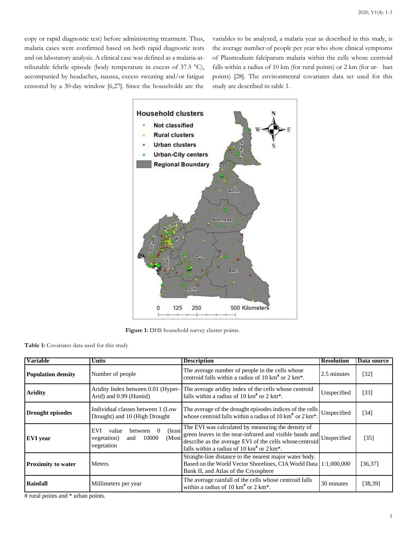copy or rapid diagnostic test) before administering treatment. Thus, malaria cases were confirmed based on both rapid diagnostic tests and on laboratory analysis. A clinical case was defined as a malaria-attributable febrile episode (body temperature in excess of 37.5 °C), accompanied by headaches, nausea, excess sweating and/or fatigue censored by a 30-day window [6,27]. Since the households are the

variables to be analyzed, a malaria year as described in this study, is the average number of people per year who show clinical symptoms of Plasmodium falciparum malaria within the cells whose centroid falls within a radius of 10 km (for rural points) or 2 km (for ur- ban points) [28]. The environmental covariates data set used for this study are described in table 1.



**Figure 1:** DHS household survey cluster points.

**Table 1:** Covariates data used for this study

| <b>Variable</b>           | Units                                                                                             | <b>Description</b>                                                                                                                                                                                                                                   | <b>Resolution</b> | Data source       |
|---------------------------|---------------------------------------------------------------------------------------------------|------------------------------------------------------------------------------------------------------------------------------------------------------------------------------------------------------------------------------------------------------|-------------------|-------------------|
| <b>Population density</b> | Number of people                                                                                  | The average number of people in the cells whose<br>centroid falls within a radius of 10 $km^*$ or 2 $km^*$ .                                                                                                                                         | 2.5 minutes       | $\left[32\right]$ |
| <b>Aridity</b>            | Aridity Index between 0.01 (Hyper-<br>Arid) and 0.99 (Humid)                                      | The average aridity index of the cells whose centroid<br>falls within a radius of 10 $km^*$ or 2 $km^*$ .                                                                                                                                            | Unspecified       | $[33]$            |
| Drought episodes          | Individual classes between 1 (Low<br>Drought) and 10 (High Drought                                | The average of the drought episodes indices of the cells<br>whose centroid falls within a radius of 10 km <sup>#</sup> or 2 km <sup>*</sup> .                                                                                                        | Unspecified       | [34]              |
| <b>EVI</b> year           | (least)<br>value<br>EVI<br>between<br>$\overline{0}$<br>10000<br>and<br>vegetation)<br>vegetation | The EVI was calculated by measuring the density of<br>(Most green leaves in the near-infrared and visible bands and Unspecified<br>(Most describe as the average EVI of the cells whose centroid<br>falls within a radius of 10 $km^*$ or 2 $km^*$ . |                   | $\left[35\right]$ |
| <b>Proximity to water</b> | <b>Meters</b>                                                                                     | Straight-line distance to the nearest major water body.<br>Based on the World Vector Shorelines, CIA World Data 1:1,000,000<br>Bank II, and Atlas of the Cryosphere                                                                                  |                   | [36, 37]          |
| Rainfall                  | Millimeters per year                                                                              | The average rainfall of the cells whose centroid falls<br>within a radius of 10 $km^{\#}$ or 2 $km^*$ .                                                                                                                                              | 30 minutes        | [38, 39]          |

# rural points and \* urban points.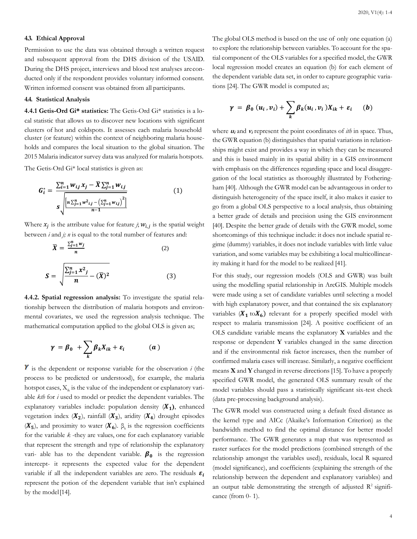#### **4.3. Ethical Approval**

Permission to use the data was obtained through a written request and subsequent approval from the DHS division of the USAID. During the DHS project, interviews and blood test analyses areconducted only if the respondent provides voluntary informed consent. Written informed consent was obtained from all participants.

#### **4.4. Statistical Analysis**

**4.4.1 Getis-Ord Gi\* statistics:** The Getis-Ord Gi\* statistics is a local statistic that allows us to discover new locations with significant clusters of hot and coldspots. It assesses each malaria household cluster (or feature) within the context of neighboring malaria households and compares the local situation to the global situation. The 2015 Malaria indicator survey data was analyzed for malaria hotspots.

The Getis-Ord Gi\* local statistics is given as:

$$
G_i^* = \frac{\sum_{i=1}^n w_{ij} x_j - \bar{X} \sum_{j=1}^n w_{ij}}{s \sqrt{\frac{\left[ n \sum_{j=1}^n w_{ij} - \left( \sum_{j=1}^n w_{ij} \right)^2 \right]}{n-1}}} \tag{1}
$$

Where  $x_i$  is the attribute value for feature *j*;  $w_{i,i}$  is the spatial weight between *i* and *j; n* is equal to the total number of features and:

$$
\overline{X} = \frac{\sum_{j=1}^{n} w_j}{n}
$$
\n
$$
S = \sqrt{\frac{\sum_{j=1}^{n} x^2_j}{n} - (\overline{X})^2}
$$
\n(2)

**4.4.2. Spatial regression analysis:** To investigate the spatial relationship between the distribution of malaria hotspots and environmental covariates, we used the regression analysis technique. The mathematical computation applied to the global OLS is given as;

$$
\gamma = \beta_0 + \sum_k \beta_k X_{ik} + \varepsilon_i \qquad (a)
$$

 $\gamma$  is the dependent or response variable for the observation *i* (the process to be predicted or understood), for example, the malaria hotspot cases,  $X_{\alpha}$  is the value of the independent or explanatory variable *kth* for *i* used to model or predict the dependent variables. The explanatory variables include: population density  $(X_1)$ , enhanced vegetation index  $(X_2)$ , rainfall  $(X_3)$ , aridity  $(X_4)$  drought episodes  $(X_5)$ , and proximity to water  $(X_6)$ .  $\beta_k$  is the regression coefficients for the variable *k* -they are values, one for each explanatory variable that represent the strength and type of relationship the explanatory vari- able has to the dependent variable.  $\beta_0$  is the regression intercept- it represents the expected value for the dependent variable if all the independent variables are zero. The residuals  $\varepsilon_i$ represent the potion of the dependent variable that isn't explained by the model[14].

The global OLS method is based on the use of only one equation (a) to explore the relationship between variables. To account for the spatial component of the OLS variables for a specified model, the GWR local regression model creates an equation (b) for each element of the dependent variable data set, in order to capture geographic variations [24]. The GWR model is computed as;

$$
\gamma = \beta_0 (u_i, v_i) + \sum_k \beta_k (u_i, v_i) X_{ik} + \varepsilon_i \qquad (b)
$$

where  $u_i$  and  $v_i$  represent the point coordinates of  $ith$  in space. Thus, the GWR equation (b) distinguishes that spatial variations in relationships might exist and provides a way in which they can be measured and this is based mainly in its spatial ability in a GIS environment with emphasis on the differences regarding space and local disaggregation of the local statistics as thoroughly illustrated by Fotheringham [40]. Although the GWR model can be advantageous in order to distinguish heterogeneity of the space itself, it also makes it easier to go from a global OLS perspective to a local analysis, thus obtaining a better grade of details and precision using the GIS environment [40]. Despite the better grade of details with the GWR model, some shortcomings of this technique include: it does not include spatial regime (dummy) variables, it does not include variables with little value variation, and some variables may be exhibiting a local multicollinearity making it hard for the model to be realized [41].

For this study, our regression models (OLS and GWR) was built using the modelling spatial relationship in ArcGIS. Multiple models were made using a set of candidate variables until selecting a model with high explanatory power, and that contained the six explanatory variables  $(X_1 \text{ to } X_6)$  relevant for a properly specified model with respect to malaria transmission [24]. A positive coefficient of an OLS candidate variable means the explanatory **X** variables and the response or dependent **Y** variables changed in the same direction and if the environmental risk factor increases, then the number of confirmed malaria cases will increase. Similarly, a negative coefficient means **X** and **Y** changed in reverse directions [15]. To have a properly specified GWR model, the generated OLS summary result of the model variables should pass a statistically significant six-test check (data pre-processing background analysis).

The GWR model was constructed using a default fixed distance as the kernel type and AICc (Akaike's Information Criterion) as the bandwidth method to find the optimal distance for better model performance. The GWR generates a map that was represented as raster surfaces for the model predictions (combined strength of the relationship amongst the variables used), residuals, local R squared (model significance), and coefficients (explaining the strength of the relationship between the dependent and explanatory variables) and an output table demonstrating the strength of adjusted  $R^2$  significance (from 0- 1).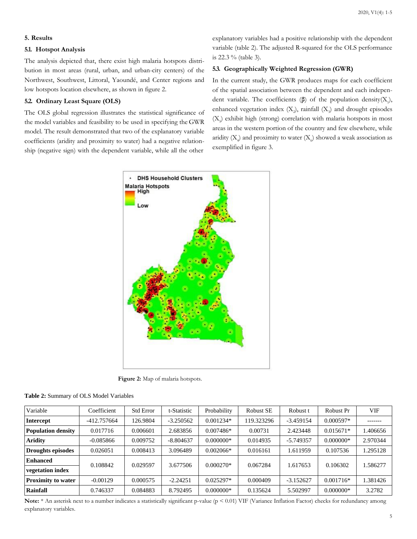#### **5. Results**

#### **5.1. Hotspot Analysis**

The analysis depicted that, there exist high malaria hotspots distribution in most areas (rural, urban, and urban-city centers) of the Northwest, Southwest, Littoral, Yaoundé, and Center regions and low hotspots location elsewhere, as shown in figure 2.

# **5.2. Ordinary Least Square (OLS)**

The OLS global regression illustrates the statistical significance of the model variables and feasibility to be used in specifying the GWR model. The result demonstrated that two of the explanatory variable coefficients (aridity and proximity to water) had a negative relationship (negative sign) with the dependent variable, while all the other

explanatory variables had a positive relationship with the dependent variable (table 2). The adjusted R-squared for the OLS performance is 22.3 % (table 3).

# **5.3. Geographically Weighted Regression (GWR)**

In the current study, the GWR produces maps for each coefficient of the spatial association between the dependent and each independent variable. The coefficients  $(\beta)$  of the population density( $X_1$ ), enhanced vegetation index  $(X_2)$ , rainfall  $(X_3)$  and drought episodes  $(X<sub>5</sub>)$  exhibit high (strong) correlation with malaria hotspots in most areas in the western portion of the country and few elsewhere, while aridity  $(X_4)$  and proximity to water  $(X_6)$  showed a weak association as exemplified in figure 3.



**Figure 2:** Map of malaria hotspots.

| Variable                  | Coefficient | <b>Std Error</b> | t-Statistic | Probability | <b>Robust SE</b> | Robust t    | Robust Pr   | VIF      |
|---------------------------|-------------|------------------|-------------|-------------|------------------|-------------|-------------|----------|
| <b>Intercept</b>          | -412.757664 | 126.9804         | $-3.250562$ | $0.001234*$ | 119.323296       | $-3.459154$ | $0.000597*$ |          |
| <b>Population density</b> | 0.017716    | 0.006601         | 2.683856    | $0.007486*$ | 0.00731          | 2.423448    | $0.015671*$ | 1.406656 |
| <b>Aridity</b>            | $-0.085866$ | 0.009752         | $-8.804637$ | $0.000000*$ | 0.014935         | $-5.749357$ | $0.000000*$ | 2.970344 |
| <b>Droughts episodes</b>  | 0.026051    | 0.008413         | 3.096489    | $0.002066*$ | 0.016161         | 1.611959    | 0.107536    | 1.295128 |
| <b>Enhanced</b>           | 0.108842    | 0.029597         | 3.677506    | $0.000270*$ | 0.067284         | 1.617653    | 0.106302    | 1.586277 |
| vegetation index          |             |                  |             |             |                  |             |             |          |
| <b>Proximity to water</b> | $-0.00129$  | 0.000575         | $-2.24251$  | $0.025297*$ | 0.000409         | $-3.152627$ | $0.001716*$ | 1.381426 |
| <b>Rainfall</b>           | 0.746337    | 0.084883         | 8.792495    | $0.000000*$ | 0.135624         | 5.502997    | $0.000000*$ | 3.2782   |

|  |  |  |  |  | Table 2: Summary of OLS Model Variables |
|--|--|--|--|--|-----------------------------------------|
|--|--|--|--|--|-----------------------------------------|

Note: \* An asterisk next to a number indicates a statistically significant p-value (p < 0.01) VIF (Variance Inflation Factor) checks for redundancy among explanatory variables.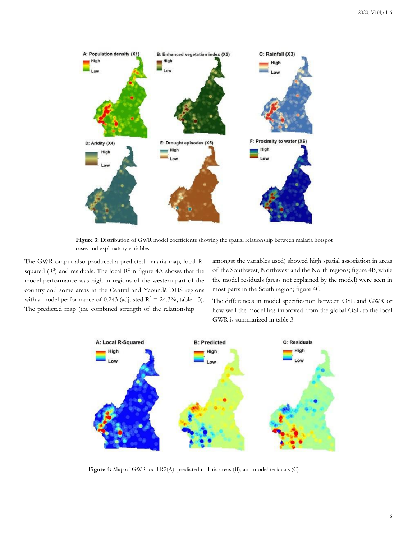

**Figure 3:** Distribution of GWR model coefficients showing the spatial relationship between malaria hotspot cases and explanatory variables.

The GWR output also produced a predicted malaria map, local Rsquared  $(R^2)$  and residuals. The local  $R^2$  in figure 4A shows that the model performance was high in regions of the western part of the country and some areas in the Central and Yaoundé DHS regions with a model performance of 0.243 (adjusted  $R^2 = 24.3\%$ , table 3). The predicted map (the combined strength of the relationship

amongst the variables used) showed high spatial association in areas of the Southwest, Northwest and the North regions; figure 4B, while the model residuals (areas not explained by the model) were seen in most parts in the South region; figure 4C.

The differences in model specification between OSL and GWR or how well the model has improved from the global OSL to the local GWR is summarized in table 3.



**Figure 4:** Map of GWR local R2(A), predicted malaria areas (B), and model residuals (C)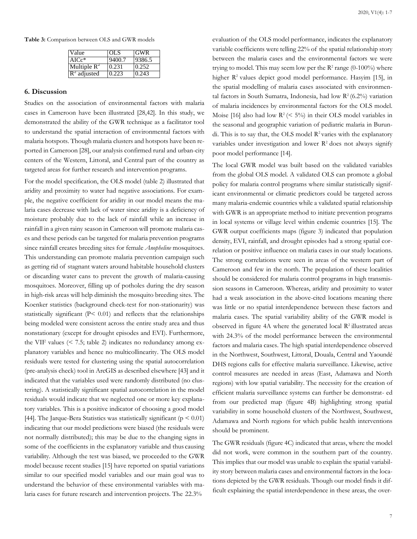**Table 3:** Comparison between OLS and GWR models

| Value          | <b>OLS</b> | <b>GWR</b> |
|----------------|------------|------------|
| $AICc*$        | 9400.7     | 9386.5     |
| Multiple $R^2$ | 0.231      | 0.252      |
| $R^2$ adjusted | 0.223      | 0.243      |

#### **6. Discussion**

Studies on the association of environmental factors with malaria cases in Cameroon have been illustrated [28,42]. In this study, we demonstrated the ability of the GWR technique as a facilitator tool to understand the spatial interaction of environmental factors with malaria hotspots. Though malaria clusters and hotspots have been reported in Cameroon [28], our analysis confirmed rural and urban-city centers of the Western, Littoral, and Central part of the country as targeted areas for further research and intervention programs.

For the model specification, the OLS model (table 2) illustrated that aridity and proximity to water had negative associations. For example, the negative coefficient for aridity in our model means the malaria cases decrease with lack of water since aridity is a deficiency of moisture probably due to the lack of rainfall while an increase in rainfall in a given rainy season in Cameroon will promote malaria cases and these periods can be targeted for malaria prevention programs since rainfall creates breeding sites for female *Anopheline* mosquitoes. This understanding can promote malaria prevention campaign such as getting rid of stagnant waters around habitable household clusters or discarding water cans to prevent the growth of malaria-causing mosquitoes. Moreover, filling up of potholes during the dry season in high-risk areas will help diminish the mosquito breeding sites. The Koenker statistics (background check-test for non-stationarity) was statistically significant  $(P< 0.01)$  and reflects that the relationships being modeled were consistent across the entire study area and thus nonstationary (except for drought episodes and EVI). Furthermore, the VIF values (< 7.5; table 2) indicates no redundancy among explanatory variables and hence no multicollinearity. The OLS model residuals were tested for clustering using the spatial autocorrelation (pre-analysis check) tool in ArcGIS as described elsewhere [43] and it indicated that the variables used were randomly distributed (no clustering). A statistically significant spatial autocorrelation in the model residuals would indicate that we neglected one or more key explanatory variables. This is a positive indicator of choosing a good model [44]. The Jarque-Bera Statistics was statistically significant ( $p \le 0.01$ ) indicating that our model predictions were biased (the residuals were not normally distributed); this may be due to the changing signs in some of the coefficients in the explanatory variable and thus causing variability. Although the test was biased, we proceeded to the GWR model because recent studies [15] have reported on spatial variations similar to our specified model variables and our main goal was to understand the behavior of these environmental variables with malaria cases for future research and intervention projects. The 22.3%

evaluation of the OLS model performance, indicates the explanatory variable coefficients were telling 22% of the spatial relationship story between the malaria cases and the environmental factors we were trying to model. This may seem low per the  $R^2$  range (0-100%) where higher R<sup>2</sup> values depict good model performance. Hasyim [15], in the spatial modelling of malaria cases associated with environmental factors in South Sumatra, Indonesia, had low  $R^2(6.2\%)$  variation of malaria incidences by environmental factors for the OLS model. Moise [16] also had low  $R^2 \approx 5\%$  in their OLS model variables in the seasonal and geographic variation of pediatric malaria in Burundi. This is to say that, the OLS model  $R^2$  varies with the explanatory variables under investigation and lower  $R<sup>2</sup>$  does not always signify poor model performance [14].

The local GWR model was built based on the validated variables from the global OLS model. A validated OLS can promote a global policy for malaria control programs where similar statistically significant environmental or climatic predictors could be targeted across many malaria-endemic countries while a validated spatial relationship with GWR is an appropriate method to initiate prevention programs in local systems or village level within endemic countries [15]. The GWR output coefficients maps (figure 3) indicated that population density, EVI, rainfall, and drought episodes had a strong spatial correlation or positive influence on malaria cases in our study locations. The strong correlations were seen in areas of the western part of Cameroon and few in the north. The population of these localities should be considered for malaria control programs in high transmission seasons in Cameroon. Whereas, aridity and proximity to water had a weak association in the above-cited locations meaning there was little or no spatial interdependence between these factors and malaria cases. The spatial variability ability of the GWR model is observed in figure 4A where the generated local  $\mathbb{R}^2$  illustrated areas with 24.3% of the model performance between the environmental factors and malaria cases. The high spatial interdependence observed in the Northwest, Southwest, Littoral, Douala, Central and Yaoundé DHS regions calls for effective malaria surveillance. Likewise, active control measures are needed in areas (East, Adamawa and North regions) with low spatial variability. The necessity for the creation of efficient malaria surveillance systems can further be demonstrat- ed from our predicted map (figure 4B) highlighting strong spatial variability in some household clusters of the Northwest, Southwest, Adamawa and North regions for which public health interventions should be prominent.

The GWR residuals (figure 4C) indicated that areas, where the model did not work, were common in the southern part of the country. This implies that our model was unable to explain the spatial variability story between malaria cases and environmental factors in the locations depicted by the GWR residuals. Though our model finds it difficult explaining the spatial interdependence in these areas, the over-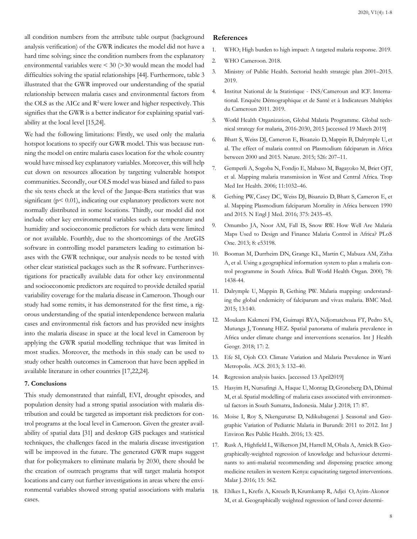all condition numbers from the attribute table output (background analysis verification) of the GWR indicates the model did not have a hard time solving; since the condition numbers from the explanatory environmental variables were < 30 (>30 would mean the model had difficulties solving the spatial relationships [44]. Furthermore, table 3 illustrated that the GWR improved our understanding of the spatial relationship between malaria cases and environmental factors from the OLS as the AICc and R<sup>2</sup> were lower and higher respectively. This signifies that the GWR is a better indicator for explaining spatial variability at the local level [15,24].

We had the following limitations: Firstly, we used only the malaria hotspot locations to specify our GWR model. This was because running the model on entire malaria cases location for the whole country would have missed key explanatory variables. Moreover, this will help cut down on resources allocation by targeting vulnerable hotspot communities. Secondly, our OLS model was biased and failed to pass the six tests check at the level of the Jarque-Bera statistics that was significant (p< 0.01), indicating our explanatory predictors were not normally distributed in some locations. Thirdly, our model did not include other key environmental variables such as temperature and humidity and socioeconomic predictors for which data were limited or not available. Fourthly, due to the shortcomings of the ArcGIS software in controlling model parameters leading to estimation biases with the GWR technique, our analysis needs to be tested with other clear statistical packages such as the R software. Furtherinvestigations for practically available data for other key environmental and socioeconomic predictors are required to provide detailed spatial variability coverage for the malaria disease in Cameroon. Though our study had some remits, it has demonstrated for the first time, a rigorous understanding of the spatial interdependence between malaria cases and environmental risk factors and has provided new insights into the malaria disease in space at the local level in Cameroon by applying the GWR spatial modelling technique that was limited in most studies. Moreover, the methods in this study can be used to study other health outcomes in Cameroon that have been applied in available literature in other countries [17,22,24].

### **7. Conclusions**

This study demonstrated that rainfall, EVI, drought episodes, and population density had a strong spatial association with malaria distribution and could be targeted as important risk predictors for control programs at the local level in Cameroon. Given the greater availability of spatial data [31] and desktop GIS packages and statistical techniques, the challenges faced in the malaria disease investigation will be improved in the future. The generated GWR maps suggest that for policymakers to eliminate malaria by 2030, there should be the creation of outreach programs that will target malaria hotspot locations and carry out further investigations in areas where the environmental variables showed strong spatial associations with malaria cases.

#### **References**

- 1. WHO; High burden to high impact: A targeted malaria response. 2019.
- 2. WHO Cameroon. 2018.
- 3. Ministry of Public Health. Sectorial health strategic plan 2001–2015. 2019.
- 4. Institut National de la Statistique INS/Cameroun and ICF. International. Enquête Démographique et de Santé et à Indicateurs Multiples du Cameroun 2011. 2019.
- 5. World Health Organization, Global Malaria Programme. Global technical strategy for malaria, 2016-2030, 2015 [accessed 19 March 2019]
- 6. [Bhatt S, Weiss DJ, Cameron E, Bisanzio D, Mappin B, Dalrymple U, et](https://pubmed.ncbi.nlm.nih.gov/26375008/) al. The effect of malaria control on Plasmodium falciparum in Afric[a](https://pubmed.ncbi.nlm.nih.gov/26375008/) [between 2000 and 2015. Nature. 2015; 526:](https://pubmed.ncbi.nlm.nih.gov/26375008/) 207–11.
- 7. Gemperli A, Sogoba [N, Fondjo](https://pubmed.ncbi.nlm.nih.gov/16827704/) E, Mabaso M, Bagayoko M, Briet OJ[T,](https://pubmed.ncbi.nlm.nih.gov/16827704/) et al. Mapping malaria transmission in West and Central Africa. Tro[p](https://pubmed.ncbi.nlm.nih.gov/16827704/) [Med Int Health. 2006;](https://pubmed.ncbi.nlm.nih.gov/16827704/) 11:1032–46.
- 8. [Gething PW, Casey DC, Weiss DJ, Bisanzio D, Bhatt S, Cameron E, et](https://pubmed.ncbi.nlm.nih.gov/27723434/) al. Mapping Plasmodium falciparum Mortality in Africa between 199[0](https://pubmed.ncbi.nlm.nih.gov/27723434/) [and 2015. N Engl J Med. 2016; 375:](https://pubmed.ncbi.nlm.nih.gov/27723434/) 2435–45.
- 9. [Omumbo JA, Noor AM, Fall IS, Snow RW. How Well Are Malaria](https://www.ncbi.nlm.nih.gov/pmc/articles/PMC3543450/) Maps Used to Design and Finance Malaria Control in Africa? PLo[S](https://www.ncbi.nlm.nih.gov/pmc/articles/PMC3543450/) [One. 2013; 8:](https://www.ncbi.nlm.nih.gov/pmc/articles/PMC3543450/) e53198.
- 10. [Booman M, Durrheim DN, Grange KL, Martin C, Mabuza AM, Zitha](https://pubmed.ncbi.nlm.nih.gov/11196490/) A, et al. Using a geographical information system to plan a malaria con[trol programme in South Africa. Bull World Health Organ. 2000; 78:](https://pubmed.ncbi.nlm.nih.gov/11196490/) 1438-44.
- 11. [Dalrymple U, Mappin B, Gething PW. Malaria mapping: understand](https://bmcmedicine.biomedcentral.com/articles/10.1186/s12916-015-0372-x)ing the global endemicity of falciparum and vivax malaria. BMC Me[d.](https://bmcmedicine.biomedcentral.com/articles/10.1186/s12916-015-0372-x) [2015; 13:140.](https://bmcmedicine.biomedcentral.com/articles/10.1186/s12916-015-0372-x)
- 12. [Moukam Kakmeni FM, Guimapi RYA, Ndjomatchoua FT, Pedro SA,](https://pubmed.ncbi.nlm.nih.gov/29338736/) Mutunga J, Tonnang HEZ. Spatial panorama of malaria prevalence i[n](https://pubmed.ncbi.nlm.nih.gov/29338736/) [Africa under climate change and interventions scenarios. Int J Health](https://pubmed.ncbi.nlm.nih.gov/29338736/) Geogr. 2018; 17: 2.
- 13. Efe SI, Ojoh CO. Climate Variation and Malaria [Prevalence](https://m.scirp.org/papers/27584) in Warri [Metropolis. ACS. 2013; 3: 132](https://m.scirp.org/papers/27584)–40.
- 14. [Regression analysis basics. \[accessed 13](http://resources.esri.com/help/9.3/ArcGISDesktop/com/Gp_ToolRef/Spatial_Statistics_toolbox/regression_analysis_basics.htm) April2019]
- 15. [Hasyim H, Nursafingi A, Haque U, Montag D, Groneberg DA, Dhimal](https://malariajournal.biomedcentral.com/articles/10.1186/s12936-018-2230-8) M, et al. Spatial modelling of malaria cases associated with environmen[tal factors in South Sumatra, Indonesia. Malar J. 2018; 17:](https://malariajournal.biomedcentral.com/articles/10.1186/s12936-018-2230-8) 87.
- 16. [Moise I, Roy S, Nkengurutse D, Ndikubagenzi J. Seasonal and Geo](https://pubmed.ncbi.nlm.nih.gov/27092518/)graphic Variation of Pediatric Malaria in Burundi: 2011 to 2012. Int [J](https://pubmed.ncbi.nlm.nih.gov/27092518/) [Environ Res Public Health. 2016; 13:](https://pubmed.ncbi.nlm.nih.gov/27092518/) 425.
- 17. Rusk A, Highfield L, [Wilkerson](https://pubmed.ncbi.nlm.nih.gov/27871303/) JM, Harrell M, Obala A, Amick B. Geographically-weighted regression of knowledge and behaviour determi[nants to anti-malarial recommending and dispensing practice among](https://pubmed.ncbi.nlm.nih.gov/27871303/) medicine retailers in western Kenya: capacitating targeted intervention[s.](https://pubmed.ncbi.nlm.nih.gov/27871303/) [Malar J. 2016; 15:](https://pubmed.ncbi.nlm.nih.gov/27871303/) 562.
- 18. [Ehlkes L, Krefis A, Kreuels B, Krumkamp R, Adjei](https://pubmed.ncbi.nlm.nih.gov/25270342/) O, Ayim-Akonor [M, et al. Geographically weighted regression of land cover determi-](https://pubmed.ncbi.nlm.nih.gov/25270342/)